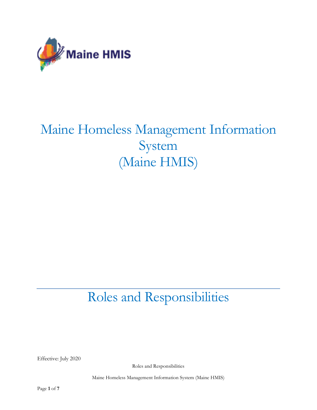

# Maine Homeless Management Information System (Maine HMIS)

# Roles and Responsibilities

Effective: July 2020

Roles and Responsibilities

Maine Homeless Management Information System (Maine HMIS)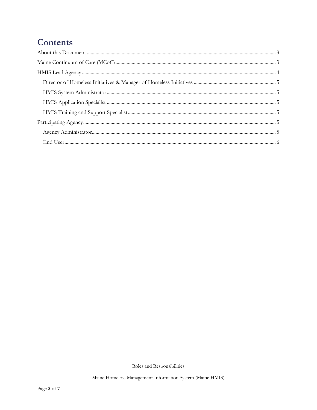## **Contents**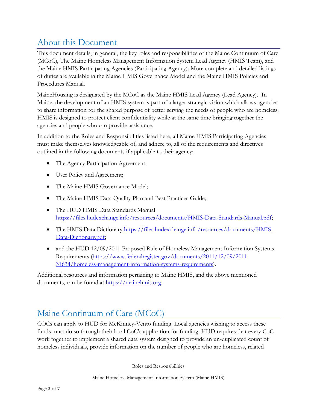## <span id="page-2-0"></span>About this Document

This document details, in general, the key roles and responsibilities of the Maine Continuum of Care (MCoC), The Maine Homeless Management Information System Lead Agency (HMIS Team), and the Maine HMIS Participating Agencies (Participating Agency). More complete and detailed listings of duties are available in the Maine HMIS Governance Model and the Maine HMIS Policies and Procedures Manual.

MaineHousing is designated by the MCoC as the Maine HMIS Lead Agency (Lead Agency). In Maine, the development of an HMIS system is part of a larger strategic vision which allows agencies to share information for the shared purpose of better serving the needs of people who are homeless. HMIS is designed to protect client confidentiality while at the same time bringing together the agencies and people who can provide assistance.

In addition to the Roles and Responsibilities listed here, all Maine HMIS Participating Agencies must make themselves knowledgeable of, and adhere to, all of the requirements and directives outlined in the following documents if applicable to their agency:

- The Agency Participation Agreement;
- User Policy and Agreement;
- The Maine HMIS Governance Model;
- The Maine HMIS Data Quality Plan and Best Practices Guide;
- The HUD HMIS Data Standards Manual [https://files.hudexchange.info/resources/documents/HMIS-Data-Standards-Manual.pdf;](https://files.hudexchange.info/resources/documents/HMIS-Data-Standards-Manual.pdf)
- The HMIS Data Dictionary [https://files.hudexchange.info/resources/documents/HMIS-](https://files.hudexchange.info/resources/documents/HMIS-Data-Dictionary.pdf)[Data-Dictionary.pdf;](https://files.hudexchange.info/resources/documents/HMIS-Data-Dictionary.pdf)
- and the HUD 12/09/2011 Proposed Rule of Homeless Management Information Systems Requirements [\(https://www.federalregister.gov/documents/2011/12/09/2011-](https://www.federalregister.gov/documents/2011/12/09/2011-31634/homeless-management-information-systems-requirements) [31634/homeless-management-information-systems-requirements\)](https://www.federalregister.gov/documents/2011/12/09/2011-31634/homeless-management-information-systems-requirements).

Additional resources and information pertaining to Maine HMIS, and the above mentioned documents, can be found at [https://mainehmis.org.](https://mainehmis.org/)

## <span id="page-2-1"></span>Maine Continuum of Care (MCoC)

COCs can apply to HUD for McKinney-Vento funding. Local agencies wishing to access these funds must do so through their local CoC's application for funding. HUD requires that every CoC work together to implement a shared data system designed to provide an un-duplicated count of homeless individuals, provide information on the number of people who are homeless, related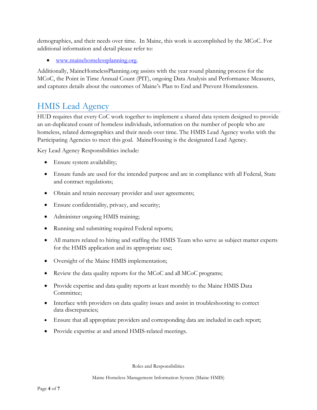demographics, and their needs over time. In Maine, this work is accomplished by the MCoC. For additional information and detail please refer to:

[www.mainehomelessplanning.org.](http://www.mainehomelessplanning.org/)

Additionally, MaineHomelessPlanning.org assists with the year round planning process for the MCoC, the Point in Time Annual Count (PIT), ongoing Data Analysis and Performance Measures, and captures details about the outcomes of Maine's Plan to End and Prevent Homelessness.

## <span id="page-3-0"></span>HMIS Lead Agency

HUD requires that every CoC work together to implement a shared data system designed to provide an un-duplicated count of homeless individuals, information on the number of people who are homeless, related demographics and their needs over time. The HMIS Lead Agency works with the Participating Agencies to meet this goal. MaineHousing is the designated Lead Agency.

Key Lead Agency Responsibilities include:

- Ensure system availability;
- Ensure funds are used for the intended purpose and are in compliance with all Federal, State and contract regulations;
- Obtain and retain necessary provider and user agreements;
- Ensure confidentiality, privacy, and security;
- Administer ongoing HMIS training;
- Running and submitting required Federal reports;
- All matters related to hiring and staffing the HMIS Team who serve as subject matter experts for the HMIS application and its appropriate use;
- Oversight of the Maine HMIS implementation;
- Review the data quality reports for the MCoC and all MCoC programs;
- Provide expertise and data quality reports at least monthly to the Maine HMIS Data Committee;
- Interface with providers on data quality issues and assist in troubleshooting to correct data discrepancies;
- Ensure that all appropriate providers and corresponding data are included in each report;
- Provide expertise at and attend HMIS-related meetings.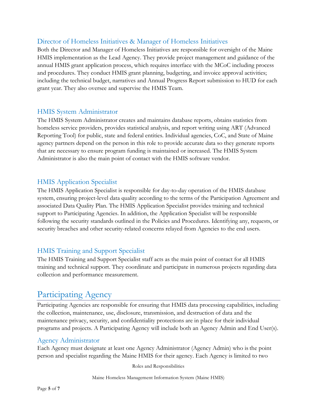#### <span id="page-4-0"></span>Director of Homeless Initiatives & Manager of Homeless Initiatives

Both the Director and Manager of Homeless Initiatives are responsible for oversight of the Maine HMIS implementation as the Lead Agency. They provide project management and guidance of the annual HMIS grant application process, which requires interface with the MCoC including process and procedures. They conduct HMIS grant planning, budgeting, and invoice approval activities; including the technical budget, narratives and Annual Progress Report submission to HUD for each grant year. They also oversee and supervise the HMIS Team.

#### <span id="page-4-1"></span>HMIS System Administrator

The HMIS System Administrator creates and maintains database reports, obtains statistics from homeless service providers, provides statistical analysis, and report writing using ART (Advanced Reporting Tool) for public, state and federal entities. Individual agencies, CoC, and State of Maine agency partners depend on the person in this role to provide accurate data so they generate reports that are necessary to ensure program funding is maintained or increased. The HMIS System Administrator is also the main point of contact with the HMIS software vendor.

#### <span id="page-4-2"></span>HMIS Application Specialist

The HMIS Application Specialist is responsible for day-to-day operation of the HMIS database system, ensuring project-level data quality according to the terms of the Participation Agreement and associated Data Quality Plan. The HMIS Application Specialist provides training and technical support to Participating Agencies. In addition, the Application Specialist will be responsible following the security standards outlined in the Policies and Procedures. Identifying any, requests, or security breaches and other security-related concerns relayed from Agencies to the end users.

### <span id="page-4-3"></span>HMIS Training and Support Specialist

The HMIS Training and Support Specialist staff acts as the main point of contact for all HMIS training and technical support. They coordinate and participate in numerous projects regarding data collection and performance measurement.

## <span id="page-4-4"></span>Participating Agency

Participating Agencies are responsible for ensuring that HMIS data processing capabilities, including the collection, maintenance, use, disclosure, transmission, and destruction of data and the maintenance privacy, security, and confidentiality protections are in place for their individual programs and projects. A Participating Agency will include both an Agency Admin and End User(s).

#### <span id="page-4-5"></span>Agency Administrator

Each Agency must designate at least one Agency Administrator (Agency Admin) who is the point person and specialist regarding the Maine HMIS for their agency. Each Agency is limited to two

Roles and Responsibilities

Maine Homeless Management Information System (Maine HMIS)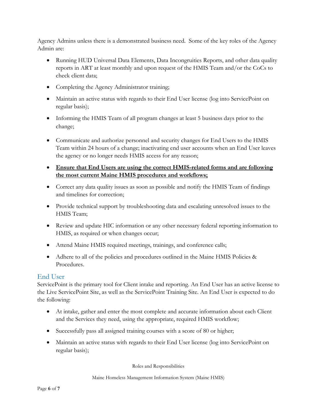Agency Admins unless there is a demonstrated business need. Some of the key roles of the Agency Admin are:

- Running HUD Universal Data Elements, Data Incongruities Reports, and other data quality reports in ART at least monthly and upon request of the HMIS Team and/or the CoCs to check client data;
- Completing the Agency Administrator training;
- Maintain an active status with regards to their End User license (log into ServicePoint on regular basis);
- Informing the HMIS Team of all program changes at least 5 business days prior to the change;
- Communicate and authorize personnel and security changes for End Users to the HMIS Team within 24 hours of a change; inactivating end user accounts when an End User leaves the agency or no longer needs HMIS access for any reason;
- **Ensure that End Users are using the correct HMIS-related forms and are following the most current Maine HMIS procedures and workflows;**
- Correct any data quality issues as soon as possible and notify the HMIS Team of findings and timelines for correction;
- Provide technical support by troubleshooting data and escalating unresolved issues to the HMIS Team;
- Review and update HIC information or any other necessary federal reporting information to HMIS, as required or when changes occur;
- Attend Maine HMIS required meetings, trainings, and conference calls;
- Adhere to all of the policies and procedures outlined in the Maine HMIS Policies & Procedures.

### <span id="page-5-0"></span>End User

ServicePoint is the primary tool for Client intake and reporting. An End User has an active license to the Live ServicePoint Site, as well as the ServicePoint Training Site. An End User is expected to do the following:

- At intake, gather and enter the most complete and accurate information about each Client and the Services they need, using the appropriate, required HMIS workflow;
- Successfully pass all assigned training courses with a score of 80 or higher;
- Maintain an active status with regards to their End User license (log into ServicePoint on regular basis);